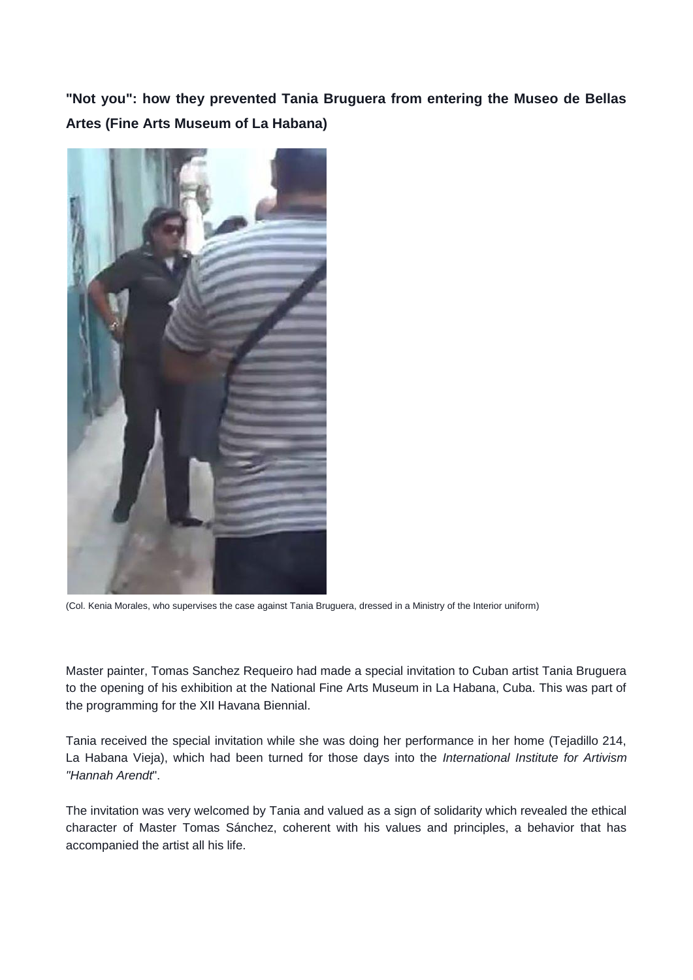**"Not you": how they prevented Tania Bruguera from entering the Museo de Bellas Artes (Fine Arts Museum of La Habana)**



(Col. Kenia Morales, who supervises the case against Tania Bruguera, dressed in a Ministry of the Interior uniform)

Master painter, Tomas Sanchez Requeiro had made a special invitation to Cuban artist Tania Bruguera to the opening of his exhibition at the National Fine Arts Museum in La Habana, Cuba. This was part of the programming for the XII Havana Biennial.

Tania received the special invitation while she was doing her performance in her home (Tejadillo 214, La Habana Vieja), which had been turned for those days into the *International Institute for Artivism "Hannah Arendt*".

The invitation was very welcomed by Tania and valued as a sign of solidarity which revealed the ethical character of Master Tomas Sánchez, coherent with his values and principles, a behavior that has accompanied the artist all his life.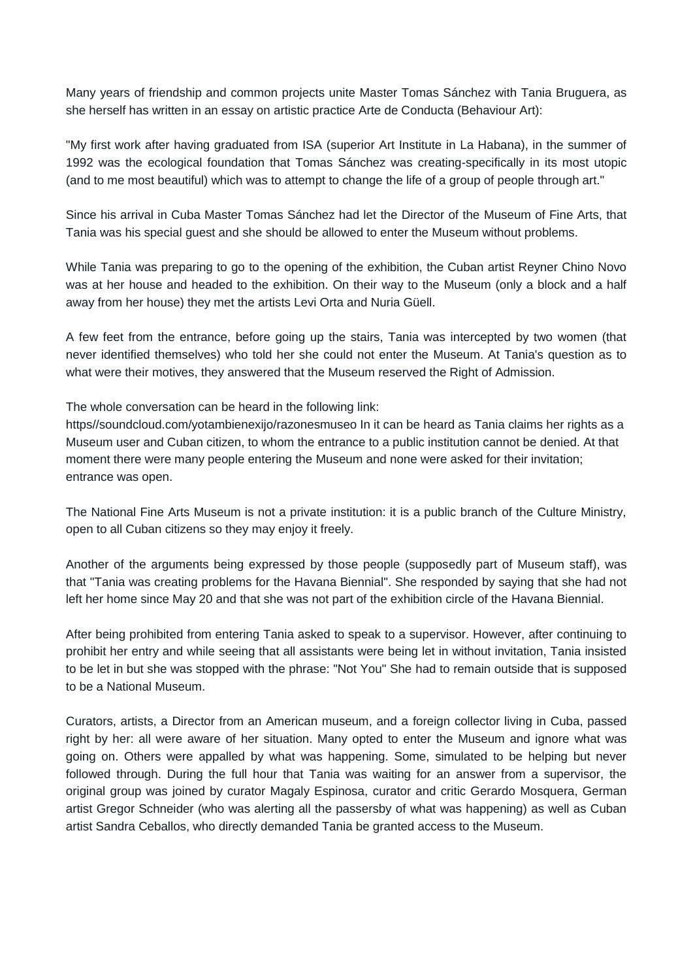Many years of friendship and common projects unite Master Tomas Sánchez with Tania Bruguera, as she herself has written in an essay on artistic practice Arte de Conducta (Behaviour Art):

"My first work after having graduated from ISA (superior Art Institute in La Habana), in the summer of 1992 was the ecological foundation that Tomas Sánchez was creating-specifically in its most utopic (and to me most beautiful) which was to attempt to change the life of a group of people through art."

Since his arrival in Cuba Master Tomas Sánchez had let the Director of the Museum of Fine Arts, that Tania was his special guest and she should be allowed to enter the Museum without problems.

While Tania was preparing to go to the opening of the exhibition, the Cuban artist Reyner Chino Novo was at her house and headed to the exhibition. On their way to the Museum (only a block and a half away from her house) they met the artists Levi Orta and Nuria Güell.

A few feet from the entrance, before going up the stairs, Tania was intercepted by two women (that never identified themselves) who told her she could not enter the Museum. At Tania's question as to what were their motives, they answered that the Museum reserved the Right of Admission.

The whole conversation can be heard in the following link:

https//soundcloud.com/yotambienexijo/razonesmuseo In it can be heard as Tania claims her rights as a Museum user and Cuban citizen, to whom the entrance to a public institution cannot be denied. At that moment there were many people entering the Museum and none were asked for their invitation; entrance was open.

The National Fine Arts Museum is not a private institution: it is a public branch of the Culture Ministry, open to all Cuban citizens so they may enjoy it freely.

Another of the arguments being expressed by those people (supposedly part of Museum staff), was that "Tania was creating problems for the Havana Biennial". She responded by saying that she had not left her home since May 20 and that she was not part of the exhibition circle of the Havana Biennial.

After being prohibited from entering Tania asked to speak to a supervisor. However, after continuing to prohibit her entry and while seeing that all assistants were being let in without invitation, Tania insisted to be let in but she was stopped with the phrase: "Not You" She had to remain outside that is supposed to be a National Museum.

Curators, artists, a Director from an American museum, and a foreign collector living in Cuba, passed right by her: all were aware of her situation. Many opted to enter the Museum and ignore what was going on. Others were appalled by what was happening. Some, simulated to be helping but never followed through. During the full hour that Tania was waiting for an answer from a supervisor, the original group was joined by curator Magaly Espinosa, curator and critic Gerardo Mosquera, German artist Gregor Schneider (who was alerting all the passersby of what was happening) as well as Cuban artist Sandra Ceballos, who directly demanded Tania be granted access to the Museum.